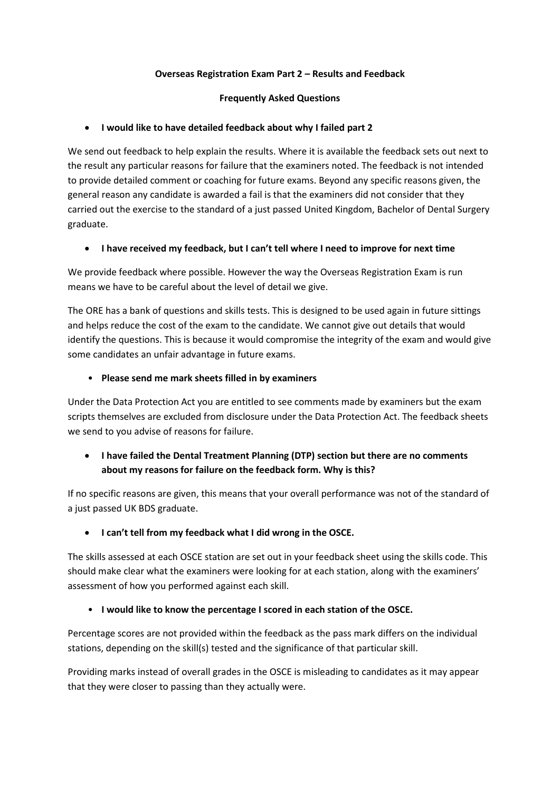### **Overseas Registration Exam Part 2 – Results and Feedback**

#### **Frequently Asked Questions**

### **I would like to have detailed feedback about why I failed part 2**

We send out feedback to help explain the results. Where it is available the feedback sets out next to the result any particular reasons for failure that the examiners noted. The feedback is not intended to provide detailed comment or coaching for future exams. Beyond any specific reasons given, the general reason any candidate is awarded a fail is that the examiners did not consider that they carried out the exercise to the standard of a just passed United Kingdom, Bachelor of Dental Surgery graduate.

### **I have received my feedback, but I can't tell where I need to improve for next time**

We provide feedback where possible. However the way the Overseas Registration Exam is run means we have to be careful about the level of detail we give.

The ORE has a bank of questions and skills tests. This is designed to be used again in future sittings and helps reduce the cost of the exam to the candidate. We cannot give out details that would identify the questions. This is because it would compromise the integrity of the exam and would give some candidates an unfair advantage in future exams.

#### • **Please send me mark sheets filled in by examiners**

Under the Data Protection Act you are entitled to see comments made by examiners but the exam scripts themselves are excluded from disclosure under the Data Protection Act. The feedback sheets we send to you advise of reasons for failure.

## **I have failed the Dental Treatment Planning (DTP) section but there are no comments about my reasons for failure on the feedback form. Why is this?**

If no specific reasons are given, this means that your overall performance was not of the standard of a just passed UK BDS graduate.

**I can't tell from my feedback what I did wrong in the OSCE.**

The skills assessed at each OSCE station are set out in your feedback sheet using the skills code. This should make clear what the examiners were looking for at each station, along with the examiners' assessment of how you performed against each skill.

### • **I would like to know the percentage I scored in each station of the OSCE.**

Percentage scores are not provided within the feedback as the pass mark differs on the individual stations, depending on the skill(s) tested and the significance of that particular skill.

Providing marks instead of overall grades in the OSCE is misleading to candidates as it may appear that they were closer to passing than they actually were.